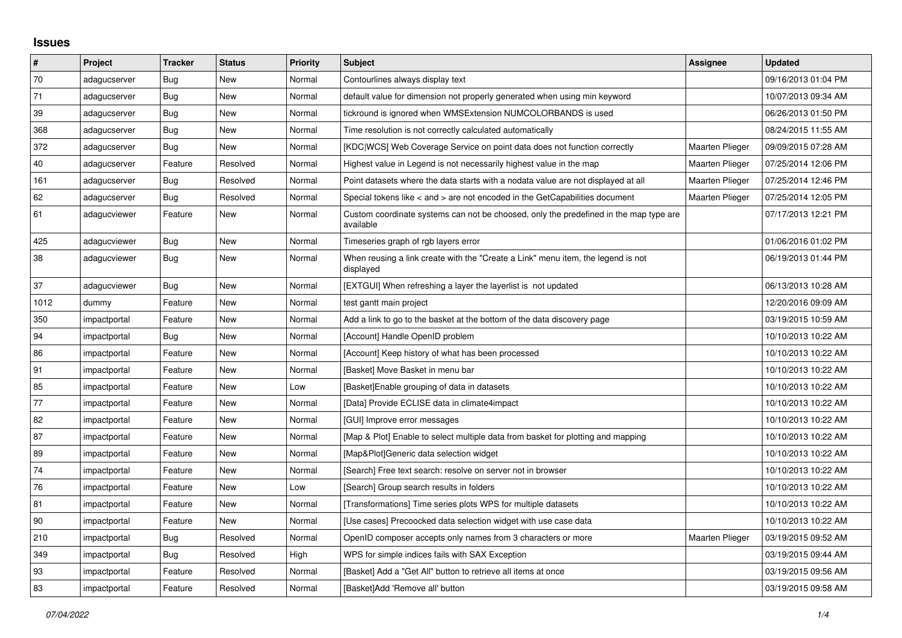## **Issues**

| $\vert$ # | Project      | <b>Tracker</b> | <b>Status</b> | <b>Priority</b> | <b>Subject</b>                                                                                     | Assignee               | <b>Updated</b>      |
|-----------|--------------|----------------|---------------|-----------------|----------------------------------------------------------------------------------------------------|------------------------|---------------------|
| 70        | adagucserver | Bug            | New           | Normal          | Contourlines always display text                                                                   |                        | 09/16/2013 01:04 PM |
| 71        | adagucserver | <b>Bug</b>     | <b>New</b>    | Normal          | default value for dimension not properly generated when using min keyword                          |                        | 10/07/2013 09:34 AM |
| 39        | adagucserver | Bug            | New           | Normal          | tickround is ignored when WMSExtension NUMCOLORBANDS is used                                       |                        | 06/26/2013 01:50 PM |
| 368       | adagucserver | Bug            | <b>New</b>    | Normal          | Time resolution is not correctly calculated automatically                                          |                        | 08/24/2015 11:55 AM |
| 372       | adagucserver | <b>Bug</b>     | New           | Normal          | [KDC WCS] Web Coverage Service on point data does not function correctly                           | <b>Maarten Plieger</b> | 09/09/2015 07:28 AM |
| 40        | adagucserver | Feature        | Resolved      | Normal          | Highest value in Legend is not necessarily highest value in the map                                | Maarten Plieger        | 07/25/2014 12:06 PM |
| 161       | adagucserver | Bug            | Resolved      | Normal          | Point datasets where the data starts with a nodata value are not displayed at all                  | Maarten Plieger        | 07/25/2014 12:46 PM |
| 62        | adagucserver | <b>Bug</b>     | Resolved      | Normal          | Special tokens like < and > are not encoded in the GetCapabilities document                        | Maarten Plieger        | 07/25/2014 12:05 PM |
| 61        | adagucviewer | Feature        | New           | Normal          | Custom coordinate systems can not be choosed, only the predefined in the map type are<br>available |                        | 07/17/2013 12:21 PM |
| 425       | adagucviewer | Bug            | New           | Normal          | Timeseries graph of rgb layers error                                                               |                        | 01/06/2016 01:02 PM |
| 38        | adagucviewer | <b>Bug</b>     | New           | Normal          | When reusing a link create with the "Create a Link" menu item, the legend is not<br>displayed      |                        | 06/19/2013 01:44 PM |
| 37        | adagucviewer | Bug            | <b>New</b>    | Normal          | [EXTGUI] When refreshing a layer the layerlist is not updated                                      |                        | 06/13/2013 10:28 AM |
| 1012      | dummy        | Feature        | New           | Normal          | test gantt main project                                                                            |                        | 12/20/2016 09:09 AM |
| 350       | impactportal | Feature        | <b>New</b>    | Normal          | Add a link to go to the basket at the bottom of the data discovery page                            |                        | 03/19/2015 10:59 AM |
| 94        | impactportal | Bug            | New           | Normal          | [Account] Handle OpenID problem                                                                    |                        | 10/10/2013 10:22 AM |
| 86        | impactportal | Feature        | New           | Normal          | [Account] Keep history of what has been processed                                                  |                        | 10/10/2013 10:22 AM |
| 91        | impactportal | Feature        | New           | Normal          | [Basket] Move Basket in menu bar                                                                   |                        | 10/10/2013 10:22 AM |
| 85        | impactportal | Feature        | New           | Low             | [Basket]Enable grouping of data in datasets                                                        |                        | 10/10/2013 10:22 AM |
| 77        | impactportal | Feature        | New           | Normal          | [Data] Provide ECLISE data in climate4impact                                                       |                        | 10/10/2013 10:22 AM |
| 82        | impactportal | Feature        | New           | Normal          | [GUI] Improve error messages                                                                       |                        | 10/10/2013 10:22 AM |
| 87        | impactportal | Feature        | New           | Normal          | [Map & Plot] Enable to select multiple data from basket for plotting and mapping                   |                        | 10/10/2013 10:22 AM |
| 89        | impactportal | Feature        | New           | Normal          | [Map&Plot]Generic data selection widget                                                            |                        | 10/10/2013 10:22 AM |
| 74        | impactportal | Feature        | New           | Normal          | [Search] Free text search: resolve on server not in browser                                        |                        | 10/10/2013 10:22 AM |
| 76        | impactportal | Feature        | New           | Low             | [Search] Group search results in folders                                                           |                        | 10/10/2013 10:22 AM |
| 81        | impactportal | Feature        | New           | Normal          | [Transformations] Time series plots WPS for multiple datasets                                      |                        | 10/10/2013 10:22 AM |
| 90        | impactportal | Feature        | New           | Normal          | [Use cases] Precoocked data selection widget with use case data                                    |                        | 10/10/2013 10:22 AM |
| 210       | impactportal | Bug            | Resolved      | Normal          | OpenID composer accepts only names from 3 characters or more                                       | <b>Maarten Plieger</b> | 03/19/2015 09:52 AM |
| 349       | impactportal | <b>Bug</b>     | Resolved      | High            | WPS for simple indices fails with SAX Exception                                                    |                        | 03/19/2015 09:44 AM |
| 93        | impactportal | Feature        | Resolved      | Normal          | [Basket] Add a "Get All" button to retrieve all items at once                                      |                        | 03/19/2015 09:56 AM |
| 83        | impactportal | Feature        | Resolved      | Normal          | [Basket]Add 'Remove all' button                                                                    |                        | 03/19/2015 09:58 AM |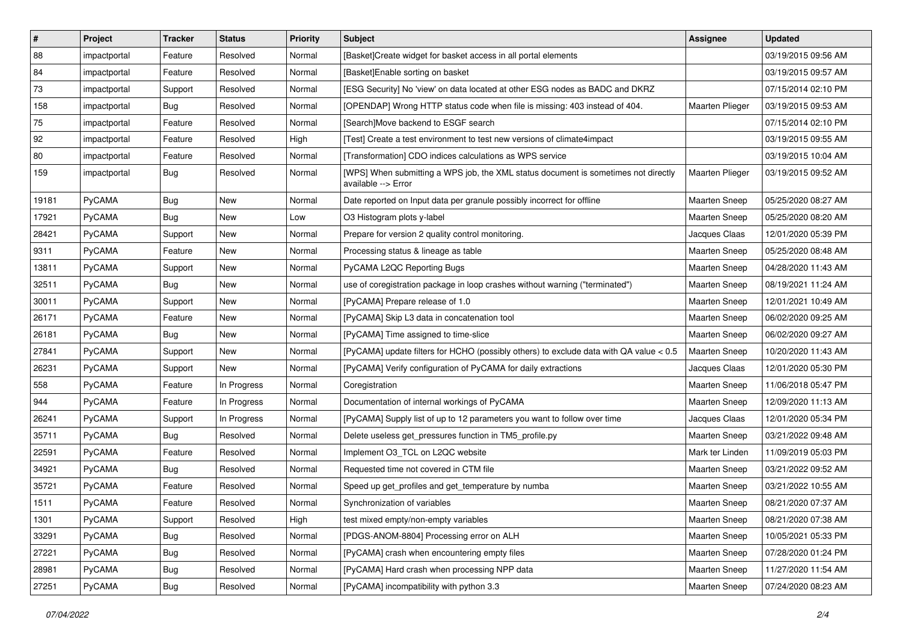| $\vert$ # | Project       | <b>Tracker</b> | <b>Status</b> | <b>Priority</b> | <b>Subject</b>                                                                                            | Assignee               | <b>Updated</b>      |
|-----------|---------------|----------------|---------------|-----------------|-----------------------------------------------------------------------------------------------------------|------------------------|---------------------|
| 88        | impactportal  | Feature        | Resolved      | Normal          | [Basket]Create widget for basket access in all portal elements                                            |                        | 03/19/2015 09:56 AM |
| 84        | impactportal  | Feature        | Resolved      | Normal          | [Basket]Enable sorting on basket                                                                          |                        | 03/19/2015 09:57 AM |
| 73        | impactportal  | Support        | Resolved      | Normal          | [ESG Security] No 'view' on data located at other ESG nodes as BADC and DKRZ                              |                        | 07/15/2014 02:10 PM |
| 158       | impactportal  | Bug            | Resolved      | Normal          | [OPENDAP] Wrong HTTP status code when file is missing: 403 instead of 404.                                | <b>Maarten Plieger</b> | 03/19/2015 09:53 AM |
| 75        | impactportal  | Feature        | Resolved      | Normal          | [Search]Move backend to ESGF search                                                                       |                        | 07/15/2014 02:10 PM |
| 92        | impactportal  | Feature        | Resolved      | High            | [Test] Create a test environment to test new versions of climate4impact                                   |                        | 03/19/2015 09:55 AM |
| 80        | impactportal  | Feature        | Resolved      | Normal          | [Transformation] CDO indices calculations as WPS service                                                  |                        | 03/19/2015 10:04 AM |
| 159       | impactportal  | Bug            | Resolved      | Normal          | [WPS] When submitting a WPS job, the XML status document is sometimes not directly<br>available --> Error | Maarten Plieger        | 03/19/2015 09:52 AM |
| 19181     | PyCAMA        | Bug            | <b>New</b>    | Normal          | Date reported on Input data per granule possibly incorrect for offline                                    | Maarten Sneep          | 05/25/2020 08:27 AM |
| 17921     | PyCAMA        | <b>Bug</b>     | New           | Low             | O3 Histogram plots y-label                                                                                | <b>Maarten Sneep</b>   | 05/25/2020 08:20 AM |
| 28421     | PyCAMA        | Support        | <b>New</b>    | Normal          | Prepare for version 2 quality control monitoring.                                                         | Jacques Claas          | 12/01/2020 05:39 PM |
| 9311      | PyCAMA        | Feature        | New           | Normal          | Processing status & lineage as table                                                                      | <b>Maarten Sneep</b>   | 05/25/2020 08:48 AM |
| 13811     | PyCAMA        | Support        | New           | Normal          | PyCAMA L2QC Reporting Bugs                                                                                | <b>Maarten Sneep</b>   | 04/28/2020 11:43 AM |
| 32511     | PyCAMA        | Bug            | <b>New</b>    | Normal          | use of coregistration package in loop crashes without warning ("terminated")                              | <b>Maarten Sneep</b>   | 08/19/2021 11:24 AM |
| 30011     | PyCAMA        | Support        | <b>New</b>    | Normal          | [PyCAMA] Prepare release of 1.0                                                                           | <b>Maarten Sneep</b>   | 12/01/2021 10:49 AM |
| 26171     | PyCAMA        | Feature        | New           | Normal          | [PyCAMA] Skip L3 data in concatenation tool                                                               | <b>Maarten Sneep</b>   | 06/02/2020 09:25 AM |
| 26181     | PyCAMA        | <b>Bug</b>     | <b>New</b>    | Normal          | [PyCAMA] Time assigned to time-slice                                                                      | Maarten Sneep          | 06/02/2020 09:27 AM |
| 27841     | PyCAMA        | Support        | <b>New</b>    | Normal          | [PyCAMA] update filters for HCHO (possibly others) to exclude data with QA value < 0.5                    | <b>Maarten Sneep</b>   | 10/20/2020 11:43 AM |
| 26231     | PyCAMA        | Support        | <b>New</b>    | Normal          | [PyCAMA] Verify configuration of PyCAMA for daily extractions                                             | Jacques Claas          | 12/01/2020 05:30 PM |
| 558       | <b>PyCAMA</b> | Feature        | In Progress   | Normal          | Coregistration                                                                                            | Maarten Sneep          | 11/06/2018 05:47 PM |
| 944       | PyCAMA        | Feature        | In Progress   | Normal          | Documentation of internal workings of PyCAMA                                                              | <b>Maarten Sneep</b>   | 12/09/2020 11:13 AM |
| 26241     | PyCAMA        | Support        | In Progress   | Normal          | [PyCAMA] Supply list of up to 12 parameters you want to follow over time                                  | Jacques Claas          | 12/01/2020 05:34 PM |
| 35711     | PyCAMA        | Bug            | Resolved      | Normal          | Delete useless get pressures function in TM5 profile.py                                                   | <b>Maarten Sneep</b>   | 03/21/2022 09:48 AM |
| 22591     | PyCAMA        | Feature        | Resolved      | Normal          | Implement O3_TCL on L2QC website                                                                          | Mark ter Linden        | 11/09/2019 05:03 PM |
| 34921     | PyCAMA        | <b>Bug</b>     | Resolved      | Normal          | Requested time not covered in CTM file                                                                    | <b>Maarten Sneep</b>   | 03/21/2022 09:52 AM |
| 35721     | PyCAMA        | Feature        | Resolved      | Normal          | Speed up get_profiles and get_temperature by numba                                                        | <b>Maarten Sneep</b>   | 03/21/2022 10:55 AM |
| 1511      | PyCAMA        | Feature        | Resolved      | Normal          | Synchronization of variables                                                                              | <b>Maarten Sneep</b>   | 08/21/2020 07:37 AM |
| 1301      | PyCAMA        | Support        | Resolved      | High            | test mixed empty/non-empty variables                                                                      | Maarten Sneep          | 08/21/2020 07:38 AM |
| 33291     | PyCAMA        | <b>Bug</b>     | Resolved      | Normal          | [PDGS-ANOM-8804] Processing error on ALH                                                                  | Maarten Sneep          | 10/05/2021 05:33 PM |
| 27221     | PyCAMA        | Bug            | Resolved      | Normal          | [PyCAMA] crash when encountering empty files                                                              | Maarten Sneep          | 07/28/2020 01:24 PM |
| 28981     | PyCAMA        | Bug            | Resolved      | Normal          | [PyCAMA] Hard crash when processing NPP data                                                              | Maarten Sneep          | 11/27/2020 11:54 AM |
| 27251     | PyCAMA        | Bug            | Resolved      | Normal          | [PyCAMA] incompatibility with python 3.3                                                                  | Maarten Sneep          | 07/24/2020 08:23 AM |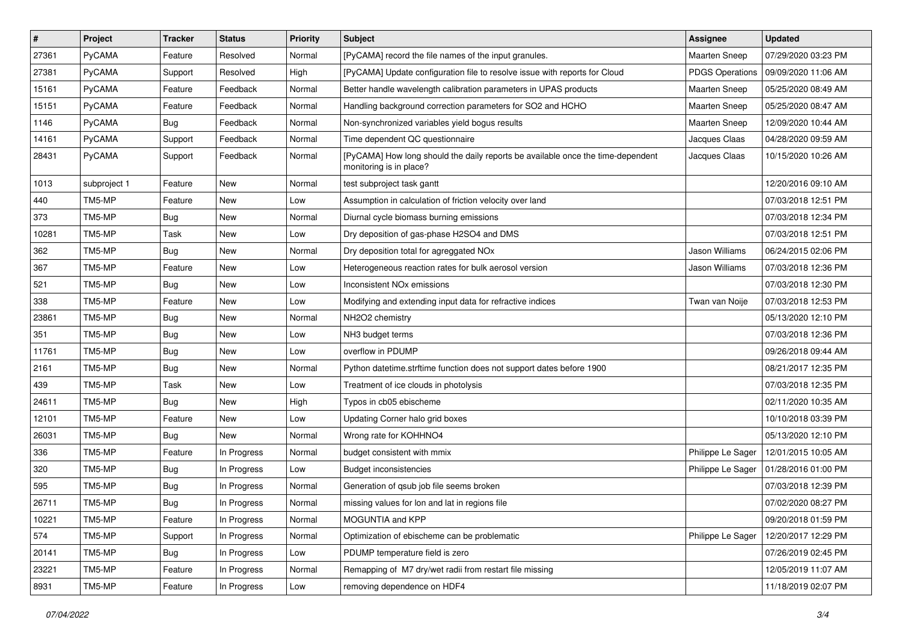| $\sharp$ | Project       | <b>Tracker</b> | <b>Status</b> | <b>Priority</b> | Subject                                                                                                    | Assignee               | <b>Updated</b>      |
|----------|---------------|----------------|---------------|-----------------|------------------------------------------------------------------------------------------------------------|------------------------|---------------------|
| 27361    | PyCAMA        | Feature        | Resolved      | Normal          | [PyCAMA] record the file names of the input granules.                                                      | Maarten Sneep          | 07/29/2020 03:23 PM |
| 27381    | <b>PyCAMA</b> | Support        | Resolved      | High            | [PyCAMA] Update configuration file to resolve issue with reports for Cloud                                 | <b>PDGS Operations</b> | 09/09/2020 11:06 AM |
| 15161    | <b>PyCAMA</b> | Feature        | Feedback      | Normal          | Better handle wavelength calibration parameters in UPAS products                                           | <b>Maarten Sneep</b>   | 05/25/2020 08:49 AM |
| 15151    | <b>PyCAMA</b> | Feature        | Feedback      | Normal          | Handling background correction parameters for SO2 and HCHO                                                 | <b>Maarten Sneep</b>   | 05/25/2020 08:47 AM |
| 1146     | PyCAMA        | Bug            | Feedback      | Normal          | Non-synchronized variables yield bogus results                                                             | Maarten Sneep          | 12/09/2020 10:44 AM |
| 14161    | PyCAMA        | Support        | Feedback      | Normal          | Time dependent QC questionnaire                                                                            | Jacques Claas          | 04/28/2020 09:59 AM |
| 28431    | <b>PyCAMA</b> | Support        | Feedback      | Normal          | [PyCAMA] How long should the daily reports be available once the time-dependent<br>monitoring is in place? | Jacques Claas          | 10/15/2020 10:26 AM |
| 1013     | subproject 1  | Feature        | New           | Normal          | test subproject task gantt                                                                                 |                        | 12/20/2016 09:10 AM |
| 440      | TM5-MP        | Feature        | New           | Low             | Assumption in calculation of friction velocity over land                                                   |                        | 07/03/2018 12:51 PM |
| 373      | TM5-MP        | <b>Bug</b>     | New           | Normal          | Diurnal cycle biomass burning emissions                                                                    |                        | 07/03/2018 12:34 PM |
| 10281    | TM5-MP        | Task           | New           | Low             | Dry deposition of gas-phase H2SO4 and DMS                                                                  |                        | 07/03/2018 12:51 PM |
| 362      | TM5-MP        | <b>Bug</b>     | New           | Normal          | Dry deposition total for agreggated NOx                                                                    | Jason Williams         | 06/24/2015 02:06 PM |
| 367      | TM5-MP        | Feature        | New           | Low             | Heterogeneous reaction rates for bulk aerosol version                                                      | Jason Williams         | 07/03/2018 12:36 PM |
| 521      | TM5-MP        | <b>Bug</b>     | New           | Low             | Inconsistent NO <sub>x</sub> emissions                                                                     |                        | 07/03/2018 12:30 PM |
| 338      | TM5-MP        | Feature        | New           | Low             | Modifying and extending input data for refractive indices                                                  | Twan van Noije         | 07/03/2018 12:53 PM |
| 23861    | TM5-MP        | <b>Bug</b>     | New           | Normal          | NH2O2 chemistry                                                                                            |                        | 05/13/2020 12:10 PM |
| 351      | TM5-MP        | <b>Bug</b>     | New           | Low             | NH3 budget terms                                                                                           |                        | 07/03/2018 12:36 PM |
| 11761    | TM5-MP        | <b>Bug</b>     | New           | Low             | overflow in PDUMP                                                                                          |                        | 09/26/2018 09:44 AM |
| 2161     | TM5-MP        | Bug            | New           | Normal          | Python datetime.strftime function does not support dates before 1900                                       |                        | 08/21/2017 12:35 PM |
| 439      | TM5-MP        | Task           | New           | Low             | Treatment of ice clouds in photolysis                                                                      |                        | 07/03/2018 12:35 PM |
| 24611    | TM5-MP        | <b>Bug</b>     | New           | High            | Typos in cb05 ebischeme                                                                                    |                        | 02/11/2020 10:35 AM |
| 12101    | TM5-MP        | Feature        | New           | Low             | Updating Corner halo grid boxes                                                                            |                        | 10/10/2018 03:39 PM |
| 26031    | TM5-MP        | <b>Bug</b>     | <b>New</b>    | Normal          | Wrong rate for KOHHNO4                                                                                     |                        | 05/13/2020 12:10 PM |
| 336      | TM5-MP        | Feature        | In Progress   | Normal          | budget consistent with mmix                                                                                | Philippe Le Sager      | 12/01/2015 10:05 AM |
| 320      | TM5-MP        | <b>Bug</b>     | In Progress   | Low             | <b>Budget inconsistencies</b>                                                                              | Philippe Le Sager      | 01/28/2016 01:00 PM |
| 595      | TM5-MP        | Bug            | In Progress   | Normal          | Generation of gsub job file seems broken                                                                   |                        | 07/03/2018 12:39 PM |
| 26711    | TM5-MP        | <b>Bug</b>     | In Progress   | Normal          | missing values for lon and lat in regions file                                                             |                        | 07/02/2020 08:27 PM |
| 10221    | TM5-MP        | Feature        | In Progress   | Normal          | MOGUNTIA and KPP                                                                                           |                        | 09/20/2018 01:59 PM |
| 574      | TM5-MP        | Support        | In Progress   | Normal          | Optimization of ebischeme can be problematic                                                               | Philippe Le Sager      | 12/20/2017 12:29 PM |
| 20141    | TM5-MP        | <b>Bug</b>     | In Progress   | Low             | PDUMP temperature field is zero                                                                            |                        | 07/26/2019 02:45 PM |
| 23221    | TM5-MP        | Feature        | In Progress   | Normal          | Remapping of M7 dry/wet radii from restart file missing                                                    |                        | 12/05/2019 11:07 AM |
| 8931     | TM5-MP        | Feature        | In Progress   | Low             | removing dependence on HDF4                                                                                |                        | 11/18/2019 02:07 PM |